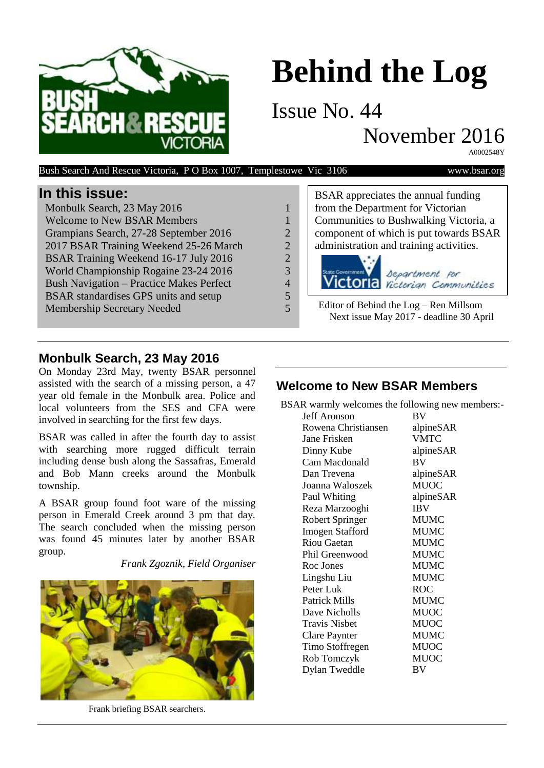

# **Behind the Log**

Issue No. 44

November 2016

A0002548Y

| Bush Search And Rescue Victoria, PO Box 1007, Templestowe Vic 3106 |                | www.bsar.org                                                                        |
|--------------------------------------------------------------------|----------------|-------------------------------------------------------------------------------------|
| In this issue:                                                     |                | BSAR appreciates the annual funding                                                 |
| Monbulk Search, 23 May 2016                                        |                | from the Department for Victorian                                                   |
| <b>Welcome to New BSAR Members</b>                                 |                | Communities to Bushwalking Victoria, a                                              |
| Grampians Search, 27-28 September 2016                             | $\overline{2}$ | component of which is put towards BSAR                                              |
| 2017 BSAR Training Weekend 25-26 March                             | 2              | administration and training activities.                                             |
| BSAR Training Weekend 16-17 July 2016                              | $\overline{2}$ |                                                                                     |
| World Championship Rogaine 23-24 2016                              | 3              | State Government                                                                    |
| <b>Bush Navigation – Practice Makes Perfect</b>                    | 4              | <b>Victoria</b> Separtment for                                                      |
| BSAR standardises GPS units and setup                              | 5              |                                                                                     |
| <b>Membership Secretary Needed</b>                                 | 5              | Editor of Behind the $Log$ – Ren Millsom<br>Next issue May 2017 - deadline 30 April |

## **Monbulk Search, 23 May 2016**

On Monday 23rd May, twenty BSAR personnel assisted with the search of a missing person, a 47 year old female in the Monbulk area. Police and local volunteers from the SES and CFA were involved in searching for the first few days.

BSAR was called in after the fourth day to assist with searching more rugged difficult terrain including dense bush along the Sassafras, Emerald and Bob Mann creeks around the Monbulk township.

A BSAR group found foot ware of the missing person in Emerald Creek around 3 pm that day. The search concluded when the missing person was found 45 minutes later by another BSAR group.

*Frank Zgoznik, Field Organiser*



Frank briefing BSAR searchers.

| BSAR appreciates the annual funding<br>from the Department for Victorian<br>Communities to Bushwalking Victoria, a |  |  |
|--------------------------------------------------------------------------------------------------------------------|--|--|
| component of which is put towards BSAR                                                                             |  |  |
| administration and training activities.                                                                            |  |  |
| Victoria separtment for                                                                                            |  |  |
| Editor of Behind the $Log$ – Ren Millsom<br>Next issue May 2017 - deadline 30 April                                |  |  |

### **Welcome to New BSAR Members**

BSAR warmly welcomes the following new members:-

|                        | --0         |
|------------------------|-------------|
| Jeff Aronson           | BV          |
| Rowena Christiansen    | alpineSAR   |
| Jane Frisken           | <b>VMTC</b> |
| Dinny Kube             | alpineSAR   |
| Cam Macdonald          | BV          |
| Dan Trevena            | alpineSAR   |
| Joanna Waloszek        | <b>MUOC</b> |
| Paul Whiting           | alpineSAR   |
| Reza Marzooghi         | <b>IBV</b>  |
| Robert Springer        | <b>MUMC</b> |
| <b>Imogen Stafford</b> | <b>MUMC</b> |
| <b>Riou Gaetan</b>     | <b>MUMC</b> |
| Phil Greenwood         | <b>MUMC</b> |
| Roc Jones              | <b>MUMC</b> |
| Lingshu Liu            | <b>MUMC</b> |
| Peter Luk              | ROC         |
| Patrick Mills          | <b>MUMC</b> |
| Dave Nicholls          | <b>MUOC</b> |
| <b>Travis Nisbet</b>   | <b>MUOC</b> |
| Clare Paynter          | <b>MUMC</b> |
| Timo Stoffregen        | <b>MUOC</b> |
| Rob Tomczyk            | <b>MUOC</b> |
| Dylan Tweddle          | BV          |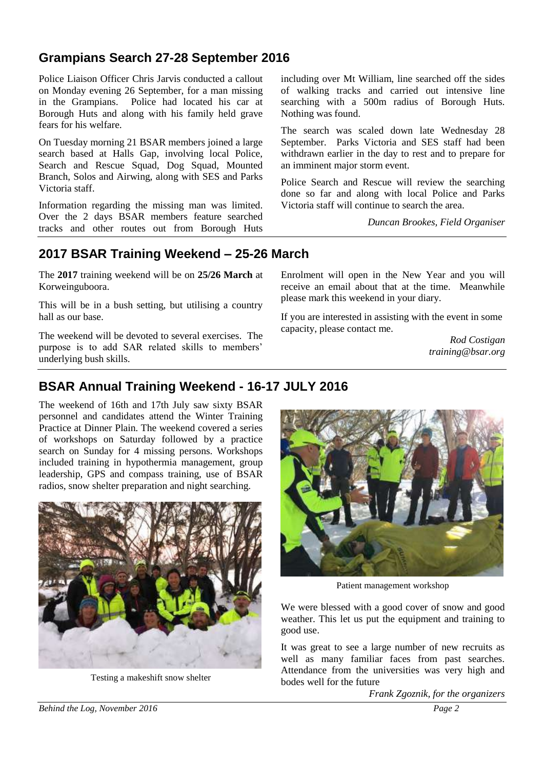## **Grampians Search 27-28 September 2016**

Police Liaison Officer Chris Jarvis conducted a callout on Monday evening 26 September, for a man missing in the Grampians. Police had located his car at Borough Huts and along with his family held grave fears for his welfare.

On Tuesday morning 21 BSAR members joined a large search based at Halls Gap, involving local Police, Search and Rescue Squad, Dog Squad, Mounted Branch, Solos and Airwing, along with SES and Parks Victoria staff.

Information regarding the missing man was limited. Over the 2 days BSAR members feature searched tracks and other routes out from Borough Huts

including over Mt William, line searched off the sides of walking tracks and carried out intensive line searching with a 500m radius of Borough Huts. Nothing was found.

The search was scaled down late Wednesday 28 September. Parks Victoria and SES staff had been withdrawn earlier in the day to rest and to prepare for an imminent major storm event.

Police Search and Rescue will review the searching done so far and along with local Police and Parks Victoria staff will continue to search the area.

*Duncan Brookes, Field Organiser*

### **2017 BSAR Training Weekend – 25-26 March**

The **2017** training weekend will be on **25/26 March** at Korweinguboora.

This will be in a bush setting, but utilising a country hall as our base.

The weekend will be devoted to several exercises. The purpose is to add SAR related skills to members' underlying bush skills.

Enrolment will open in the New Year and you will receive an email about that at the time. Meanwhile please mark this weekend in your diary.

If you are interested in assisting with the event in some capacity, please contact me.

> *Rod Costigan training@bsar.org*

# **BSAR Annual Training Weekend - 16-17 JULY 2016**

The weekend of 16th and 17th July saw sixty BSAR personnel and candidates attend the Winter Training Practice at Dinner Plain. The weekend covered a series of workshops on Saturday followed by a practice search on Sunday for 4 missing persons. Workshops included training in hypothermia management, group leadership, GPS and compass training, use of BSAR radios, snow shelter preparation and night searching.



Testing a makeshift snow shelter



Patient management workshop

We were blessed with a good cover of snow and good weather. This let us put the equipment and training to good use.

It was great to see a large number of new recruits as well as many familiar faces from past searches. Attendance from the universities was very high and bodes well for the future

*Frank Zgoznik, for the organizers*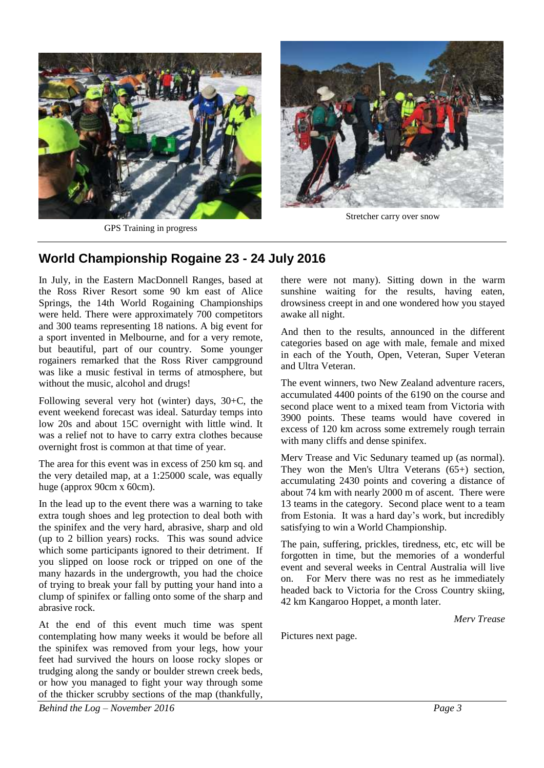

GPS Training in progress



Stretcher carry over snow

#### **World Championship Rogaine 23 - 24 July 2016**

In July, in the Eastern MacDonnell Ranges, based at the Ross River Resort some 90 km east of Alice Springs, the 14th World Rogaining Championships were held. There were approximately 700 competitors and 300 teams representing 18 nations. A big event for a sport invented in Melbourne, and for a very remote, but beautiful, part of our country. Some younger rogainers remarked that the Ross River campground was like a music festival in terms of atmosphere, but without the music, alcohol and drugs!

Following several very hot (winter) days, 30+C, the event weekend forecast was ideal. Saturday temps into low 20s and about 15C overnight with little wind. It was a relief not to have to carry extra clothes because overnight frost is common at that time of year.

The area for this event was in excess of 250 km sq. and the very detailed map, at a 1:25000 scale, was equally huge (approx 90cm x 60cm).

In the lead up to the event there was a warning to take extra tough shoes and leg protection to deal both with the spinifex and the very hard, abrasive, sharp and old (up to 2 billion years) rocks. This was sound advice which some participants ignored to their detriment. If you slipped on loose rock or tripped on one of the many hazards in the undergrowth, you had the choice of trying to break your fall by putting your hand into a clump of spinifex or falling onto some of the sharp and abrasive rock.

At the end of this event much time was spent contemplating how many weeks it would be before all the spinifex was removed from your legs, how your feet had survived the hours on loose rocky slopes or trudging along the sandy or boulder strewn creek beds, or how you managed to fight your way through some of the thicker scrubby sections of the map (thankfully, there were not many). Sitting down in the warm sunshine waiting for the results, having eaten, drowsiness creept in and one wondered how you stayed awake all night.

And then to the results, announced in the different categories based on age with male, female and mixed in each of the Youth, Open, Veteran, Super Veteran and Ultra Veteran.

The event winners, two New Zealand adventure racers, accumulated 4400 points of the 6190 on the course and second place went to a mixed team from Victoria with 3900 points. These teams would have covered in excess of 120 km across some extremely rough terrain with many cliffs and dense spinifex.

Merv Trease and Vic Sedunary teamed up (as normal). They won the Men's Ultra Veterans (65+) section, accumulating 2430 points and covering a distance of about 74 km with nearly 2000 m of ascent. There were 13 teams in the category. Second place went to a team from Estonia. It was a hard day's work, but incredibly satisfying to win a World Championship.

The pain, suffering, prickles, tiredness, etc, etc will be forgotten in time, but the memories of a wonderful event and several weeks in Central Australia will live on. For Merv there was no rest as he immediately headed back to Victoria for the Cross Country skiing, 42 km Kangaroo Hoppet, a month later.

*Merv Trease*

Pictures next page.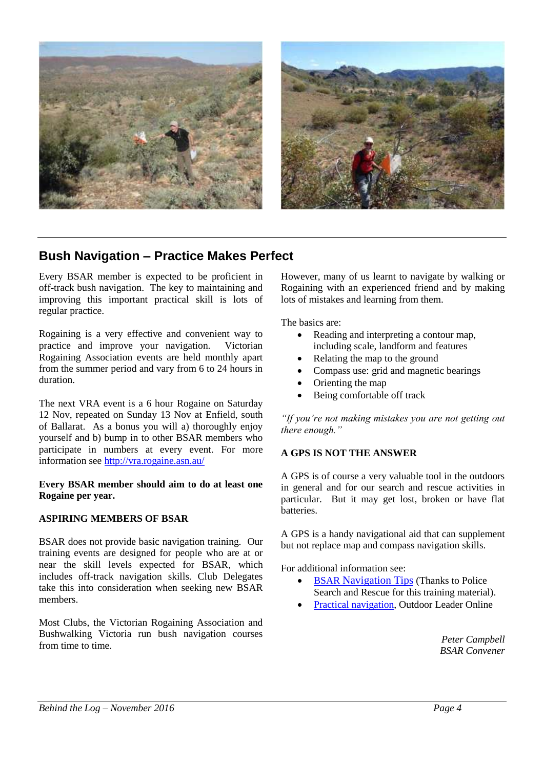

# **Bush Navigation – Practice Makes Perfect**

Every BSAR member is expected to be proficient in off-track bush navigation. The key to maintaining and improving this important practical skill is lots of regular practice.

Rogaining is a very effective and convenient way to practice and improve your navigation. Victorian Rogaining Association events are held monthly apart from the summer period and vary from 6 to 24 hours in duration.

The next VRA event is a 6 hour Rogaine on Saturday 12 Nov, repeated on Sunday 13 Nov at Enfield, south of Ballarat. As a bonus you will a) thoroughly enjoy yourself and b) bump in to other BSAR members who participate in numbers at every event. For more information see<http://vra.rogaine.asn.au/>

#### **Every BSAR member should aim to do at least one Rogaine per year.**

#### **ASPIRING MEMBERS OF BSAR**

BSAR does not provide basic navigation training. Our training events are designed for people who are at or near the skill levels expected for BSAR, which includes off-track navigation skills. Club Delegates take this into consideration when seeking new BSAR members.

Most Clubs, the Victorian Rogaining Association and Bushwalking Victoria run bush navigation courses from time to time.

However, many of us learnt to navigate by walking or Rogaining with an experienced friend and by making lots of mistakes and learning from them.

The basics are:

- Reading and interpreting a contour map, including scale, landform and features
- Relating the map to the ground
- Compass use: grid and magnetic bearings
- Orienting the map
- Being comfortable off track

*"If you're not making mistakes you are not getting out there enough."*

#### **A GPS IS NOT THE ANSWER**

A GPS is of course a very valuable tool in the outdoors in general and for our search and rescue activities in particular. But it may get lost, broken or have flat batteries.

A GPS is a handy navigational aid that can supplement but not replace map and compass navigation skills.

For additional information see:

- BSAR [Navigation Tips](http://bsar.org/bush-navigation-tips) (Thanks to Police Search and Rescue for this training material).
- [Practical navigation,](http://outdoorleaderonline.org/content/olo/pagerend.php?chapID=11§ID=1) Outdoor Leader Online

*Peter Campbell BSAR Convener*